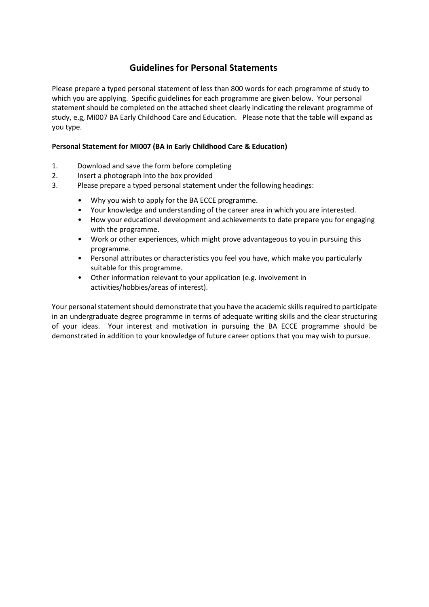## **Guidelines for Personal Statements**

Please prepare a typed personal statement of less than 800 words for each programme of study to which you are applying. Specific guidelines for each programme are given below. Your personal statement should be completed on the attached sheet clearly indicating the relevant programme of study, e.g, MI007 BA Early Childhood Care and Education. Please note that the table will expand as you type.

## **Personal Statement for MI007 (BA in Early Childhood Care & Education)**

- 1. Download and save the form before completing
- 2. Insert a photograph into the box provided
- 3. Please prepare a typed personal statement under the following headings:
	- Why you wish to apply for the BA ECCE programme.
	- Your knowledge and understanding of the career area in which you are interested.
	- How your educational development and achievements to date prepare you for engaging with the programme.
	- Work or other experiences, which might prove advantageous to you in pursuing this programme.
	- Personal attributes or characteristics you feel you have, which make you particularly suitable for this programme.
	- Other information relevant to your application (e.g. involvement in activities/hobbies/areas of interest).

Your personal statement should demonstrate that you have the academic skills required to participate in an undergraduate degree programme in terms of adequate writing skills and the clear structuring of your ideas. Your interest and motivation in pursuing the BA ECCE programme should be demonstrated in addition to your knowledge of future career options that you may wish to pursue.